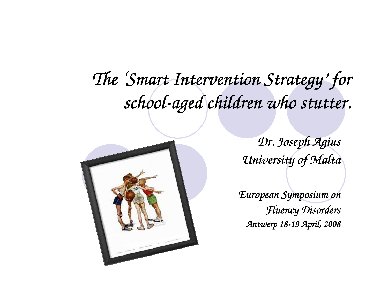# *The 'Smart Intervention Strategy Smart Intervention Intervention Strategy' for school- school-aged children who stutter. aged children*



*Dr. Joseph Agius AgiusUniversity of Malta*

*European Symposium on Fluency DisordersAntwerp 18- Antwerp 18-19 April, 2008 19 April,*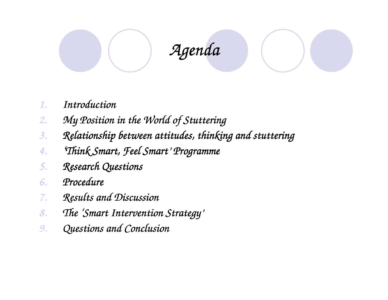# *Agenda*

- *1.Introduction*
- *2.My Position in the World of Stuttering*
- *3.Relationship between attitudes, thinking and stuttering*
- *4.'Think Smart, Feel Smart 'Think Smart, Feel Think Smart, Smart' Programme*
- *5.Research Questions*
- *6.Procedure*
- *7.Results and Discussion*
- *8.The 'Smart Intervention Strategy'*
- *9.Questions and Conclusion*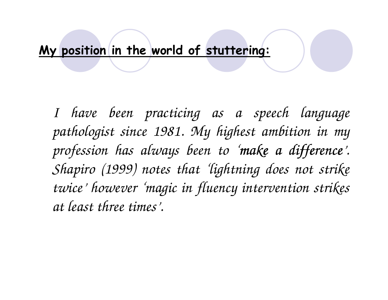#### My position in the world of stuttering:

*I have been practicing as a speech language pathologist since 1981. My highest ambition in my*  profession has always been to 'make a difference'. *Shapiro (1999) notes that 'lightning does not strike twice' however 'magic in fluency intervention strikes at least three times'.*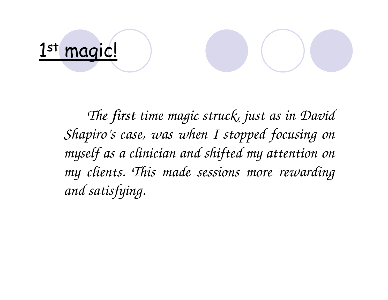# <u>1st magic!</u>

*The first time magic struck, just as in David Shapiro's case, was when I stopped focusing on myself as a clinician and shifted my attention on my clients. This made sessions more rewarding and satisfying.*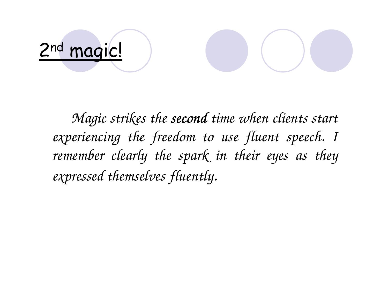# 2<sup>nd</sup> magic!

*Magic strikes the second time when clients start experiencing the freedom to use fluent speech. I*  remember clearly the spark in their eyes as they *expressed themselves fluently.*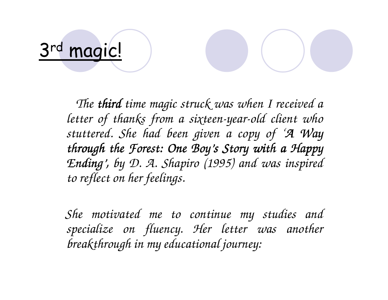# 3rd magic!

*The third time magic struck was when I received a letter of thanks from a sixteen-year-old client who stuttered. She had been given a copy of 'A Way through the Forest: One Boy's Story with a Happy Ending' Ending', by D. A. Shapiro (1995) and was inspired to reflect on her feelings.*

*She motivated me to continue my studies and specialize on fluency. Her letter was another breakthrough in my educational journey:*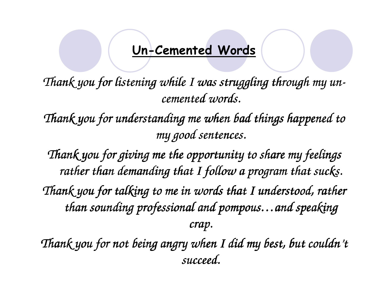#### Un-Cemented Words

*Thank you for listening while I was struggling through my un- ugh uncemented words.*

*Thank you for understanding me when bad things happened to my good sentences.*

*Thank you for giving me the opportunity to share my feelings rather than demanding that I follow a program that sucks. Thank you for talking to me in words that I understood, rather than sounding professional and pompous… and pompous…and speaking and crap.*

*Thank you for not being angry when I did my best, but couldn't succeed.*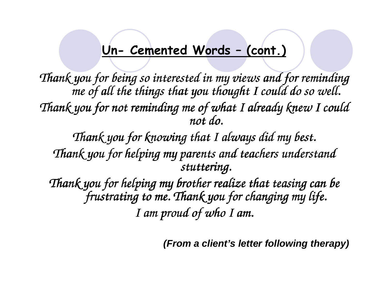#### Un- Cemented Words – (cont.)

*Thank you for being so interested in my views and for reminding me of all the things that you thought I could do so well. Thank you for not reminding me of what I already knew I could not do.*

*Thank you for knowing that I always did my best. Thank you for helping my parents and teachers understand stuttering.*

*Thank you for helping my brother realize that teasing can be frustrating to me. Thank you for changing my life. I am proud of who I am.*

**(From a client's letter following therapy)**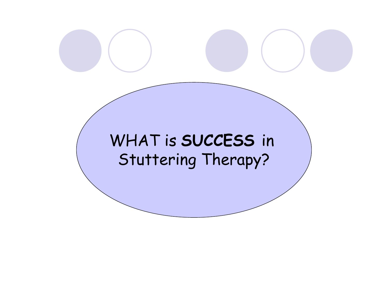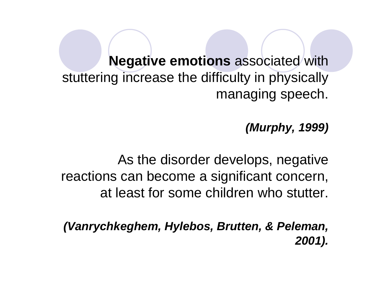**Negative emotions** associated with stuttering increase the difficulty in physically managing speech.

**(Murphy, 1999)**

As the disorder develops, negative reactions can become a significant concern, at least for some children who stutter.

**(Vanrychkeghem, Hylebos, Brutten, & Peleman, 2001).**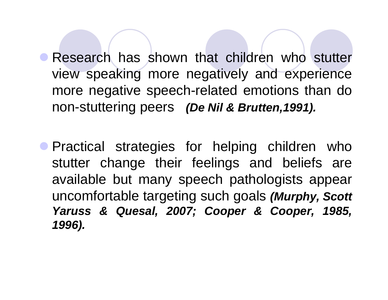**• Research has shown that children who stutter** view speaking more negatively and experience more negative speech-related emotions than do non-stuttering peers **(De Nil & Brutten,1991).**

**• Practical strategies for helping children who** stutter change their feelings and beliefs are available but many speech pathologists appear uncomfortable targeting such goals **(Murphy, Scott Yaruss & Quesal, 2007; Cooper & Cooper, 1985, 1996).**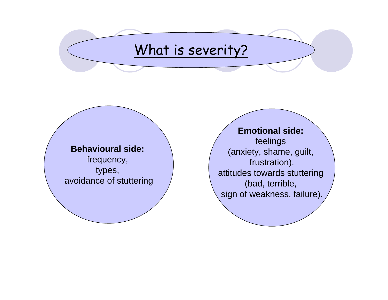# What is severity?

**Behavioural side:**frequency, types,

avoidance of stuttering

**Emotional side:**feelings (anxiety, shame, guilt, frustration). attitudes towards stuttering (bad, terrible, sign of weakness, failure).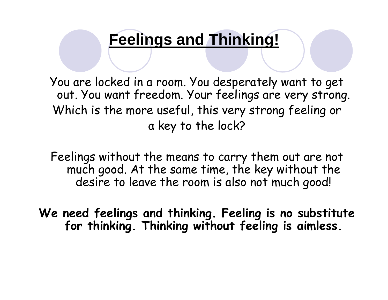# **Feelings and Thinking!**

You are locked in a room. You desperately want to get out. You want freedom. Your feelings are very strong. Which is the more useful, this very strong feeling or a key to the lock?

Feelings without the means to carry them out are not much good. At the same time, the key without the desire to leave the room is also not much good!

We need feelings and thinking. Feeling is no substitute for thinking. Thinking without feeling is aimless.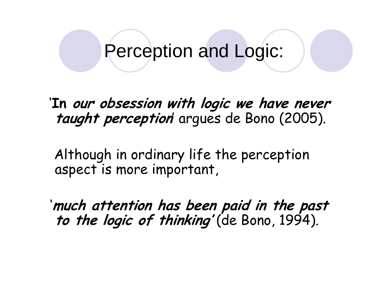Perception and Logic:

'In our obsession with logic we have never taught perception arques de Bono (2005).

Although in ordinary life the perception aspect is more important,

'much attention has been paid in the past to the logic of thinking' (de Bono, 1994).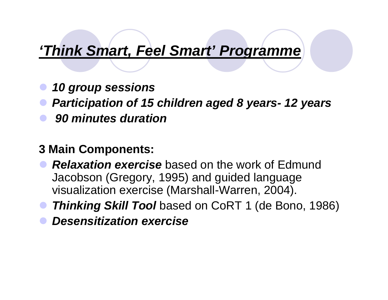# **'Think Smart, Feel Smart' Programme**

- $\bullet$ **10 group sessions**
- $\bullet$ **Participation of 15 children aged 8 years- 12 years**
- $\bullet$ **90 minutes duration**

#### **3 Main Components:**

- $\bullet$  **Relaxation exercise** based on the work of Edmund Jacobson (Gregory, 1995) and guided language visualization exercise (Marshall-Warren, 2004).
- $\bullet$ **Thinking Skill Tool** based on CoRT 1 (de Bono, 1986)
- $\bullet$ **Desensitization exercise**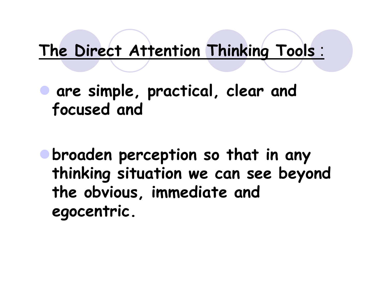# The Direct Attention Thinking Tools :

 $\bullet$  are simple, practical, clear and focused and

broaden perception so that in any thinking situation we can see beyond the obvious, immediate and egocentric.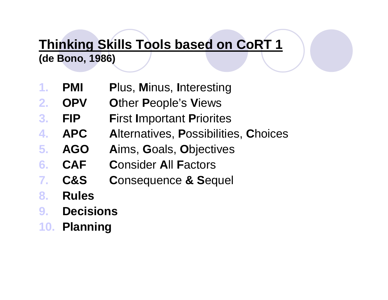# **Thinking Skills Tools based on CoRT <sup>1</sup>**

**(de Bono, 1986)**

- **1.PMI P**lus, **M**inus, **I**nteresting
- **2.OPV O**ther **P**eople's **V**iews
- **3.FIP F**irst **I**mportant **P**riorites
- **APC A**lternatives, **P**ossibilities,**C**hoices**4.**
- **5. AGO A**ims, **G**oals, **O**bjectives
- **6.CAF C**onsider **A**ll **F**actors
- **7.C&S C**onsequence **& S**equel
- **8.Rules**
- **Decisions9.**
- **10. Planning**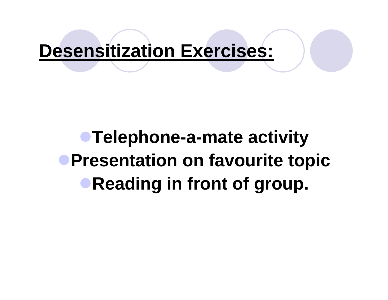# **Desensitization Exercises:**

**• Telephone-a-mate activity Presentation on favourite topicReading in front of group.**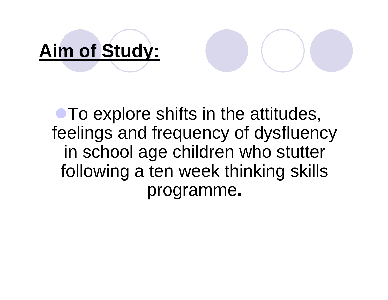# **Aim of Study:**

# **• To explore shifts in the attitudes,**  feelings and frequency of dysfluencyin school age children who stutter following a ten week thinking skills programme**.**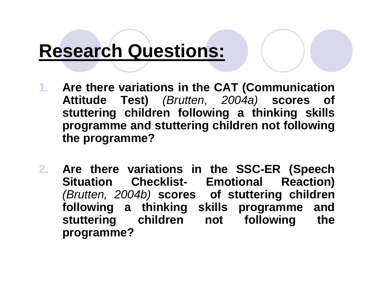# **Research Questions:**

- **1. Are there variations in the CAT (Communication Attitude Test)** (Brutten, 2004a) **scores of stuttering children following a thinking skills programme and stuttering children not following the programme?**
- **2. Are there variations in the SSC-ER (Speech Situation Checklist- Emotional Reaction)**  (Brutten, 2004b) **scores of stuttering children following a thinking skills programme and stuttering children not following the programme?**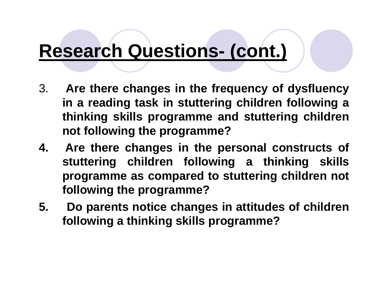# **Research Questions- (cont.)**

- 3. **Are there changes in the frequency of dysfluency in a reading task in stuttering children following a thinking skills programme and stuttering children not following the programme?**
- **4. Are there changes in the personal constructs of stuttering children following a thinking skills programme as compared to stuttering children not following the programme?**
- **5. Do parents notice changes in attitudes of children following a thinking skills programme?**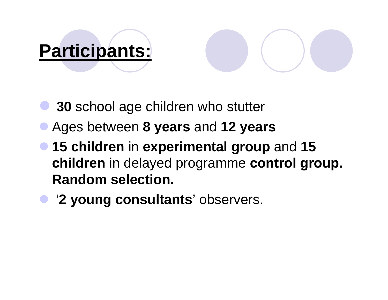# **Participants:**

 $\bullet$ 

- $\bullet$ **<sup>30</sup>** school age children who stutter
- Ages between **8 years** and **12 years**
- **15 children** in **experimental group** and **<sup>15</sup> children** in delayed programme **control group. Random selection.**
	- '**2 young consultants**' observers.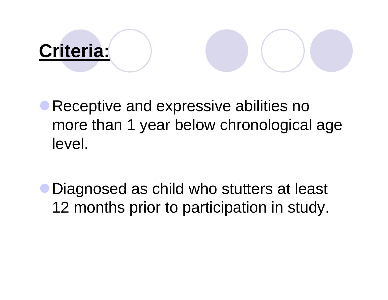# **Criteria:**

Receptive and expressive abilities no more than 1 year below chronological age level.

Diagnosed as child who stutters at least 12 months prior to participation in study.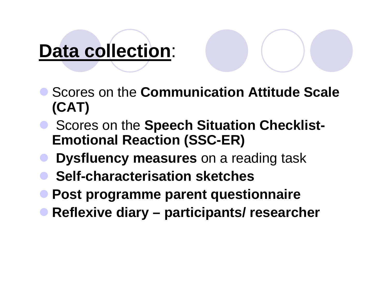# **Data collection**:

- Scores on the **Communication Attitude Scale (CAT)**
- **Scores on the Speech Situation Checklist-**<br> **Emotional Poaction (SSC-EP) Emotional Reaction (SSC-ER)**
- $\bullet$ **Dysfluency measures** on a reading task
- $\bullet$ **Self-characterisation sketches**
- **Post programme parent questionnaire**
- $\bullet$ **Reflexive diary – participants/ researcher**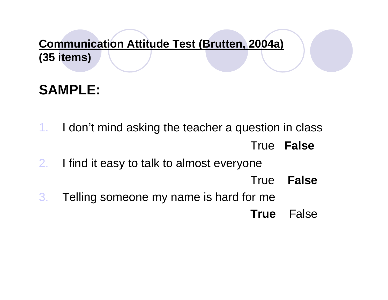#### **Communication Attitude Test (Brutten, 2004a) (35 items)**

## **SAMPLE:**

- 1. I don't mind asking the teacher a question in classTrue **False**
- 2. I find it easy to talk to almost everyone
	- True **False**
- 3. Telling someone my name is hard for me**True** False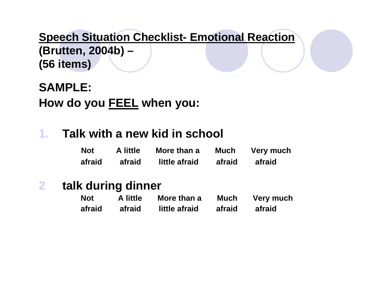**Speech Situation Checklist- Emotional Reaction(Brutten, 2004b) –(56 items)**

**SAMPLE:How do you FEEL when you:**

#### **1.Talk with a new kid in school**

| <b>Not</b> | A little | More than a   | <b>Much</b> | <b>Very much</b> |
|------------|----------|---------------|-------------|------------------|
| afraid     | afraid   | little afraid | afraid      | afraid           |

#### **2talk during dinner**

| <b>Not</b> | A little | More than a   | <b>Much</b> | Very much |
|------------|----------|---------------|-------------|-----------|
| afraid     | afraid   | little afraid | afraid      | afraid    |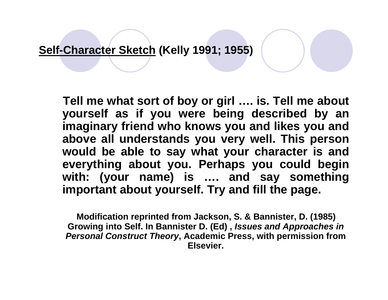**Self-Character Sketch (Kelly 1991; 1955)**

**Tell me what sort of boy or girl …. is. Tell me about yourself as if you were being described by an imaginary friend who knows you and likes you and above all understands you very well. This person would be able to say what your character is and everything about you. Perhaps you could begin with: (your name) is …. and say something important about yourself. Try and fill the page.**

**Modification reprinted from Jackson, S. & Bannister, D. (1985) Growing into Self. In Bannister D. (Ed) , Issues and Approaches in Personal Construct Theory, Academic Press, with permission from Elsevier.**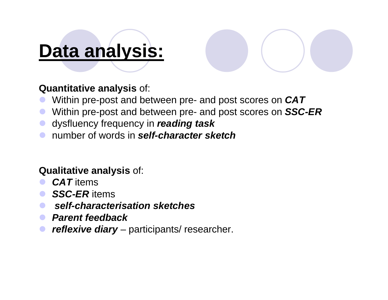# **Data analysis:**

#### **Quantitative analysis** of:

- Within pre-post and between pre- and post scores on **CAT**
- Within pre-post and between pre- and post scores on **SSC-ER**
- dysfluency frequency in **reading task**
- number of words in **self-character sketch**

#### **Qualitative analysis** of:

- **CAT** items
- **SSC-ER** items
- **self-characterisation sketches**
- *Parent feedback*
- **reflexive diary** participants/ researcher.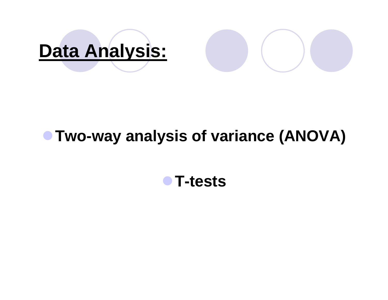

# **Two-way analysis of variance (ANOVA)**

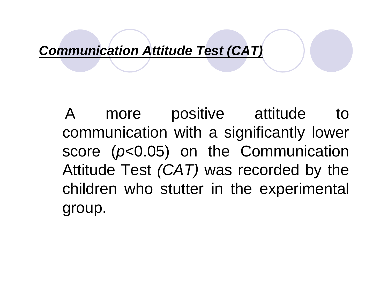**Communication Attitude Test (CAT)**

A more positive attitude to communication with a significantly lower score (p<0.05) on the Communication Attitude Test  $(CAT)$  was recorded by the children who stutter in the experimental group.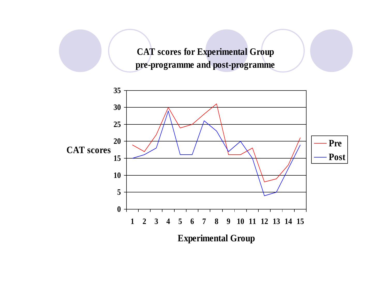**CAT scores for Experimental Grouppre-programme and post-programme**

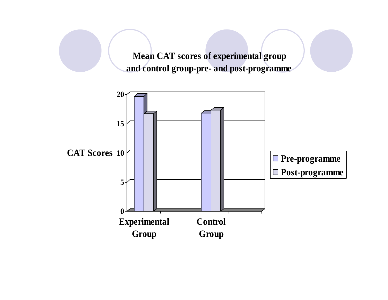**Mean CAT scores of experimental group and control group-pre- and post-programme**

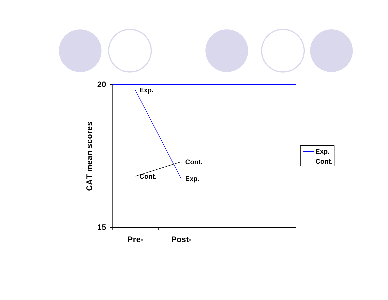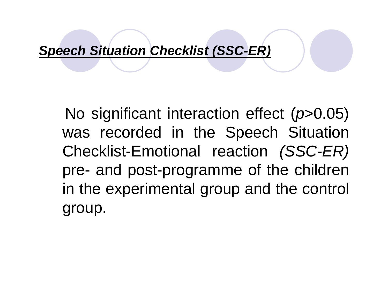#### **Speech Situation Checklist (SSC-ER)**

No significant interaction effect (p>0.05) was recorded in the Speech Situation Checklist-Emotional reaction (SSC-ER)pre- and post-programme of the children in the experimental group and the control group.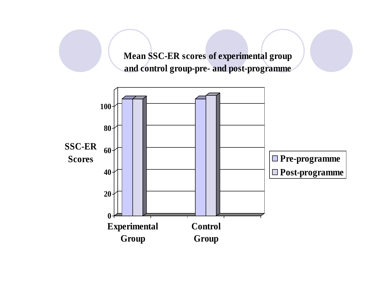**Mean SSC-ER scores of experimental group and control group-pre- and post-programme**

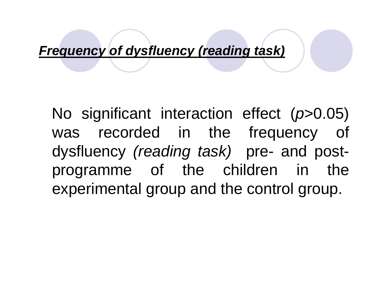#### **Frequency of dysfluency (reading task)**

No significant interaction effect (p>0.05) was recorded in the frequency of dysfluency (reading task) pre- and postprogramme of the children in the experimental group and the control group.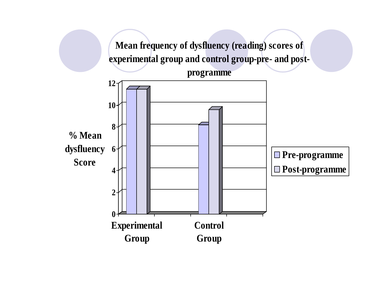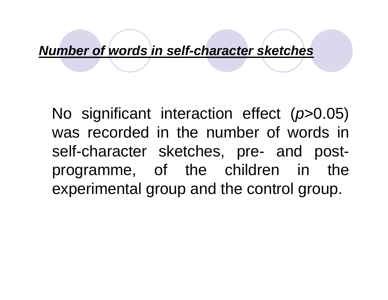#### **Number of words in self-character sketches**

No significant interaction effect (p>0.05) was recorded in the number of words in self-character sketches, pre- and postprogramme, of the children in the experimental group and the control group.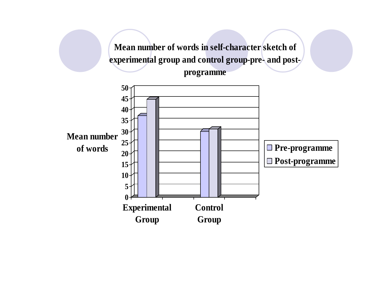**Mean number of words in self-character sketch of experimental group and control group-pre- and postprogramme**

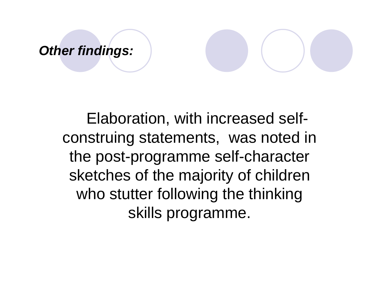#### **Other findings:**

Elaboration, with increased selfconstruing statements, was noted in the post-programme self-character sketches of the majority of children who stutter following the thinking skills programme.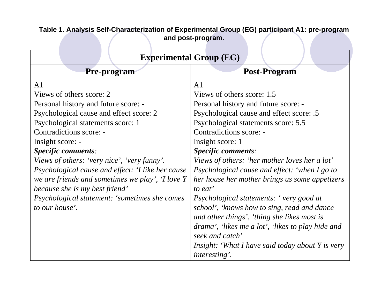| <b>Experimental Group (EG)</b>                                                                                                                                                                                                                                                                                                                                                                                                                                                                                      |                                                                                                                                                                                                                                                                                                                                                                                                                                                                                                                                                             |  |  |  |  |
|---------------------------------------------------------------------------------------------------------------------------------------------------------------------------------------------------------------------------------------------------------------------------------------------------------------------------------------------------------------------------------------------------------------------------------------------------------------------------------------------------------------------|-------------------------------------------------------------------------------------------------------------------------------------------------------------------------------------------------------------------------------------------------------------------------------------------------------------------------------------------------------------------------------------------------------------------------------------------------------------------------------------------------------------------------------------------------------------|--|--|--|--|
| Pre-program                                                                                                                                                                                                                                                                                                                                                                                                                                                                                                         | Post-Program                                                                                                                                                                                                                                                                                                                                                                                                                                                                                                                                                |  |  |  |  |
| A <sub>1</sub><br>Views of others score: 2<br>Personal history and future score: -<br>Psychological cause and effect score: 2<br>Psychological statements score: 1<br>Contradictions score: -<br>Insight score: -<br><b>Specific comments:</b><br>Views of others: 'very nice', 'very funny'.<br>Psychological cause and effect: 'I like her cause<br>we are friends and sometimes we play', 'I love Y<br>because she is my best friend'<br><i>Psychological statement: 'sometimes she comes'</i><br>to our house'. | A <sub>1</sub><br>Views of others score: 1.5<br>Personal history and future score: -<br>Psychological cause and effect score: .5<br>Psychological statements score: 5.5<br>Contradictions score: -<br>Insight score: 1<br><b>Specific comments:</b><br>Views of others: 'her mother loves her a lot'<br>Psychological cause and effect: 'when I go to<br>her house her mother brings us some appetizers<br>to eat'<br>Psychological statements: 'very good at<br>school', 'knows how to sing, read and dance<br>and other things', 'thing she likes most is |  |  |  |  |
|                                                                                                                                                                                                                                                                                                                                                                                                                                                                                                                     | drama', 'likes me a lot', 'likes to play hide and<br>seek and catch'<br><i>Insight: 'What I have said today about Y is very</i>                                                                                                                                                                                                                                                                                                                                                                                                                             |  |  |  |  |
|                                                                                                                                                                                                                                                                                                                                                                                                                                                                                                                     | <i>interesting'.</i>                                                                                                                                                                                                                                                                                                                                                                                                                                                                                                                                        |  |  |  |  |

**Table 1. Analysis Self-Characterization of Experimental Group (EG) participant A1: pre-program and post-program.**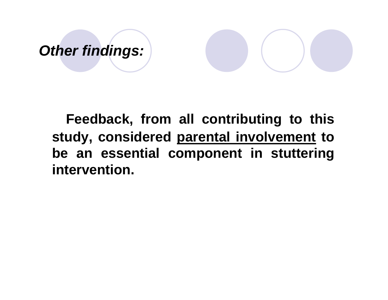# **Other findings:**

**Feedback, from all contributing to this study, considered parental involvement to be an essential component in stuttering intervention.**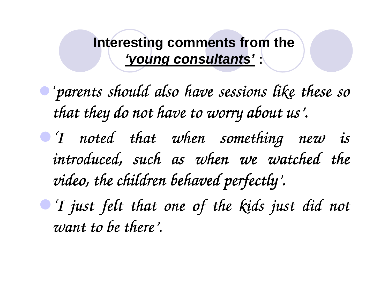**Interesting comments from the 'young consultants' :**

'*parents should also have sessions like these so that they do not have to worry about us' to worry us'.*

*T noted that when something new is introduced, such as when we watched the video, the children behaved perfectly' video, children behaved perfectly'.*

*'I just felt that one of the kids just did not 'I that one of the just did not want to be there' want to there'.*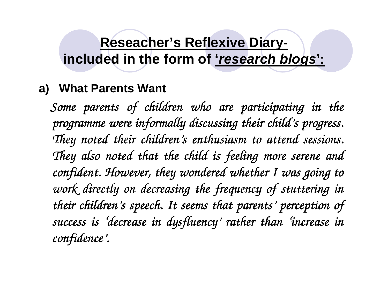### **Reseacher's Reflexive Diaryincluded in the form of 'research blogs':**

#### **a) What Parents Want**

*Some parents of children who are participating in the programme were informally discussing their child were informally their child their child's progress. s progress.*  They noted their children's enthusiasm to attend sessions. *They also noted that the child is feeling more serene and confident. However, they wondered whether I was going to work directly on decreasing the frequency of stuttering in their children' their children's speech. It seems that parents s It seems s parents' perception of perception success is ' success is 'decrease in decrease in in dysfluency dysfluency' rather than rather 'increase in increase in confidence' confidence'.*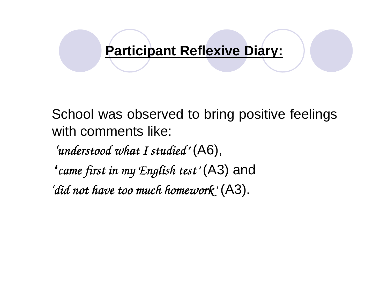#### **Participant Reflexive Diary:**

School was observed to bring positive feelings with comments like:

*'understood what I studied what understood studied'* (A6),

**'***came first in my English test' came first in* (A3) and

*'did not have too much homework not have too much homework did have much homework'* (A3).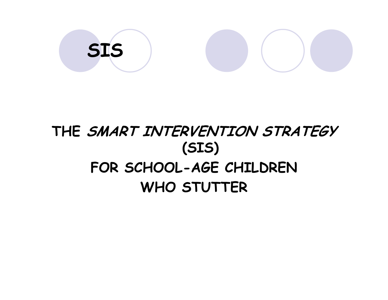$$
\begin{array}{|c|c|} \hline \text{SIS} & \text{O} & \text{O} \\ \hline \end{array}
$$

# THE SMART INTERVENTION STRATEGY (SIS) FOR SCHOOL-AGE CHILDREN WHO STUTTER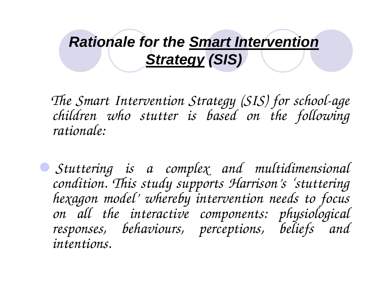# **Rationale for the Smart Intervention Strategy (SIS)**

*The Smart Intervention Strategy (SIS) for school-age children who stutter is based on the following rationale:*

 *Stuttering is a complex and multidimensional condition. This study supports Harrison's 'stuttering hexagon model' whereby intervention needs to focus on all the interactive components: physiological responses, behaviours, perceptions, beliefs and intentions.*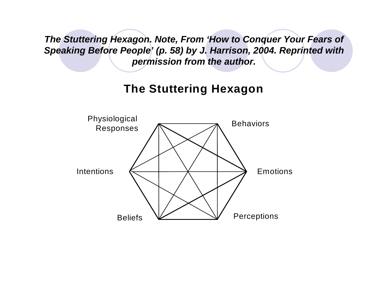**The Stuttering Hexagon. Note, From 'How to Conquer Your Fears of Speaking Before People' (p. 58) by J. Harrison, 2004. Reprinted with permission from the author.**

#### **The Stuttering Hexagon**

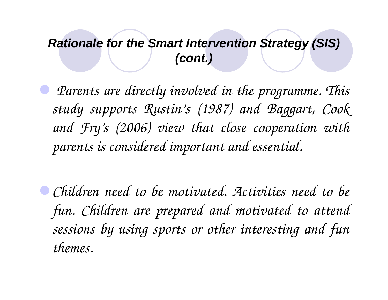#### **Rationale for the Smart Intervention Strategy (SIS)(cont.)**

 $\bullet$  *Parents are directly involved in the programme. This study supports Rustin's (1987) and Baggart, Cook and Fry's (2006) view that close cooperation with parents is considered important and essential.*

*Children need to be motivated. Activities need to be fun. Children are prepared and motivated to attend sessions by using sports or other interesting and fun themes.*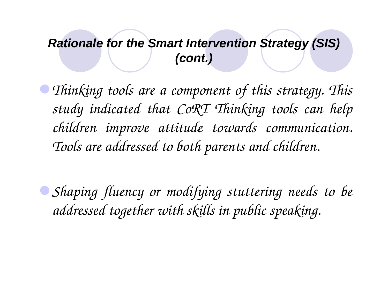#### **Rationale for the Smart Intervention Strategy (SIS)(cont.)**

*Thinking tools are a component of this strategy. Thisstudy indicated that CoRT Thinking tools can help children improve attitude towards communication. Tools are addressed to both parents and children.*

*Shaping fluency or modifying stuttering needs to beaddressed together with skills in public speaking.*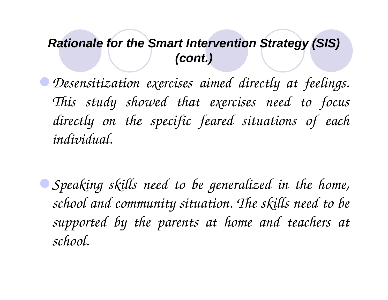#### **Rationale for the Smart Intervention Strategy (SIS)(cont.)**

*Desensitization exercises aimed directly at feelings. This study showed that exercises need to focus directly on the specific feared situations of each individual.*

*Speaking skills need to be generalized in the home, school and community situation. The skills need to be supported by the parents at home and teachers at school.*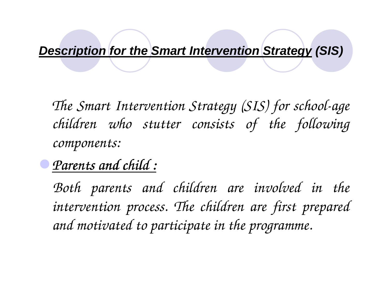# **Description for the Smart Intervention Strategy (SIS)**

*The Smart Intervention Strategy (SIS) for school-agechildren who stutter consists of the following components:*

*Parents and child :*

*Both parents and children are involved in the intervention process. The children are first prepared and motivated to participate in the programme.*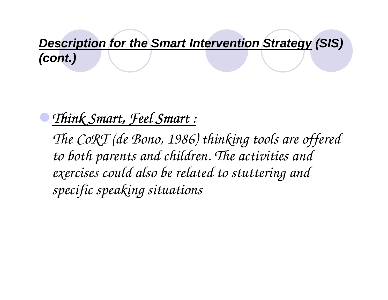**Description for the Smart Intervention Strategy (SIS) (cont.)**

## *Think Smart, Feel Smart :*

*The CoRT (de Bono, 1986) thinking tools are offered to both parents and children. The activities and exercises could also be related to stuttering and specific speaking situations*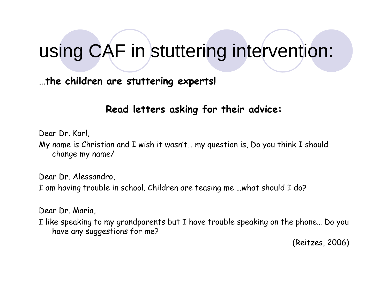# using CAF in stuttering intervention:

…the children are stuttering experts!

Read letters asking for their advice:

Dear Dr. Karl,

My name is Christian and I wish it wasn't… my question is, Do you think I should change my name/

Dear Dr. Alessandro,

I am having trouble in school. Children are teasing me …what should I do?

Dear Dr. Maria,

I like speaking to my grandparents but I have trouble speaking on the phone… Do you have any suggestions for me?

(Reitzes, 2006)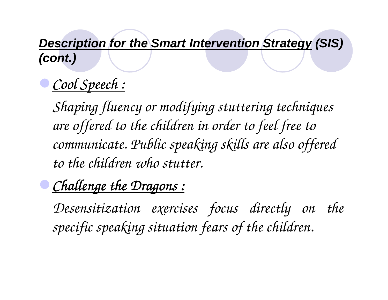### **Description for the Smart Intervention Strategy (SIS) (cont.)**

# *Cool Speech :*

*Shaping fluency or modifying stuttering techniques are offered to the children in order to feel free to communicate. Public speaking skills are also offered to the children who stutter.*

# *Challenge the Dragons :*

*Desensitization exercises focus directly on the specific speaking situation fears of the children.*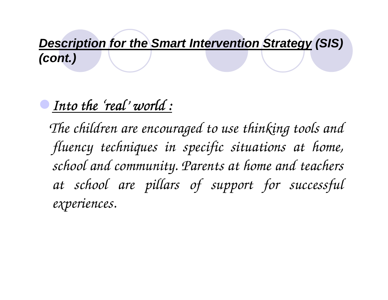**Description for the Smart Intervention Strategy (SIS) (cont.)**

# *Into the ' Into the 'real' world : world*

*The children are encouraged to use thinking tools and fluency techniques in specific situations at home, school and community. Parents at home and teachers at school are pillars of support for successful experiences.*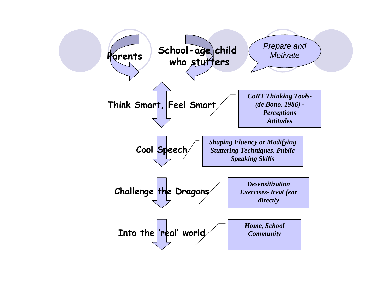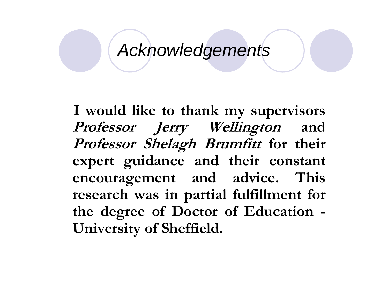# Acknowledgements

I would like to thank my supervisors Professor Jerry Wellington and Professor Shelagh Brumfitt for their expert guidance and their constant encouragement and advice. This research was in partial fulfillment for the degree of Doctor of Education -University of Sheffield.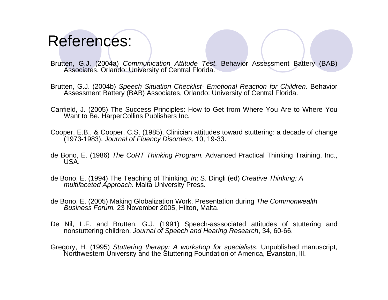# References:

- Brutten, G.J. (2004a) Communication Attitude Test. Behavior Assessment Battery (BAB) Associates, Orlando: University of Central Florida.
- Brutten, G.J. (2004b) Speech Situation Checklist- Emotional Reaction for Children. Behavior Assessment Battery (BAB) Associates, Orlando: University of Central Florida.
- Canfield, J. (2005) The Success Principles: How to Get from Where You Are to Where You Want to Be. HarperCollins Publishers Inc.
- Cooper, E.B., & Cooper, C.S. (1985). Clinician attitudes toward stuttering: a decade of change (1973-1983). Journal of Fluency Disorders, 10, 19-33.
- de Bono, E. (1986) The CoRT Thinking Program. Advanced Practical Thinking Training, Inc., USA.
- de Bono, E. (1994) The Teaching of Thinking. In: S. Dingli (ed) Creative Thinking: A multifaceted Approach. Malta University Press.
- de Bono, E. (2005) Making Globalization Work. Presentation during The Commonwealth Business Forum. 23 November 2005, Hilton, Malta.
- De Nil, L.F. and Brutten, G.J. (1991) Speech-asssociated attitudes of stuttering and nonstuttering children. Journal of Speech and Hearing Research, 34, 60-66.
- Gregory, H. (1995) Stuttering therapy: A workshop for specialists. Unpublished manuscript, Northwestern University and the Stuttering Foundation of America, Evanston, Ill.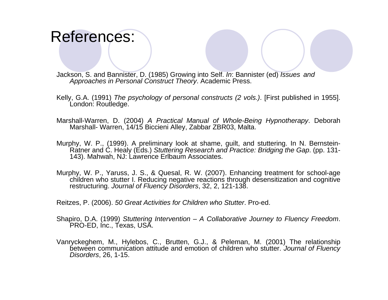### References:

Jackson, S. and Bannister, D. (1985) Growing into Self. In: Bannister (ed) Issues and Approaches in Personal Construct Theory. Academic Press.

- Kelly, G.A. (1991) The psychology of personal constructs (2 vols.). [First published in 1955]. London: Routledge.
- Marshall-Warren, D. (2004) A Practical Manual of Whole-Being Hypnotherapy. Deborah Marshall- Warren, 14/15 Biccieni Alley, Zabbar ZBR03, Malta.
- Murphy, W. P., (1999). A preliminary look at shame, guilt, and stuttering. In N. Bernstein-Ratner and C. Healy (Eds.) Stuttering Research and Practice: Bridging the Gap. (pp. 131-143). Mahwah, NJ: Lawrence Erlbaum Associates.
- Murphy, W. P., Yaruss, J. S., & Quesal, R. W. (2007). Enhancing treatment for school-age children who stutter I. Reducing negative reactions through desensitization and cognitive restructuring. Journal of Fluency Disorders, 32, 2, 121-138.

Reitzes, P. (2006). 50 Great Activities for Children who Stutter. Pro-ed.

- Shapiro, D.A. (1999) Stuttering Intervention A Collaborative Journey to Fluency Freedom. PRO-ED, Inc., Texas, USA.
- Vanryckeghem, M., Hylebos, C., Brutten, G.J., & Peleman, M. (2001) The relationship between communication attitude and emotion of children who stutter. Journal of Fluency Disorders, 26, 1-15.